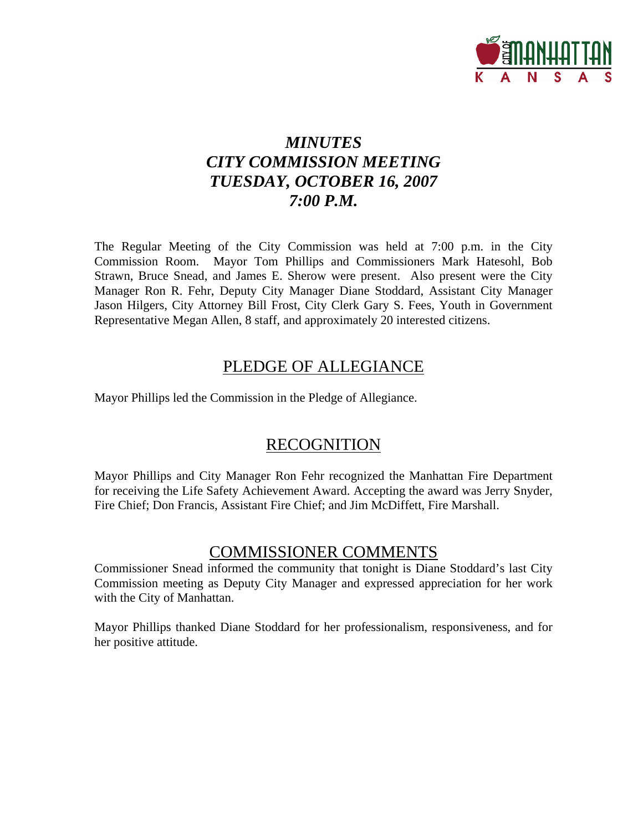

# *MINUTES CITY COMMISSION MEETING TUESDAY, OCTOBER 16, 2007 7:00 P.M.*

The Regular Meeting of the City Commission was held at 7:00 p.m. in the City Commission Room. Mayor Tom Phillips and Commissioners Mark Hatesohl, Bob Strawn, Bruce Snead, and James E. Sherow were present. Also present were the City Manager Ron R. Fehr, Deputy City Manager Diane Stoddard, Assistant City Manager Jason Hilgers, City Attorney Bill Frost, City Clerk Gary S. Fees, Youth in Government Representative Megan Allen, 8 staff, and approximately 20 interested citizens.

# PLEDGE OF ALLEGIANCE

Mayor Phillips led the Commission in the Pledge of Allegiance.

# **RECOGNITION**

Mayor Phillips and City Manager Ron Fehr recognized the Manhattan Fire Department for receiving the Life Safety Achievement Award. Accepting the award was Jerry Snyder, Fire Chief; Don Francis, Assistant Fire Chief; and Jim McDiffett, Fire Marshall.

# COMMISSIONER COMMENTS

Commissioner Snead informed the community that tonight is Diane Stoddard's last City Commission meeting as Deputy City Manager and expressed appreciation for her work with the City of Manhattan.

Mayor Phillips thanked Diane Stoddard for her professionalism, responsiveness, and for her positive attitude.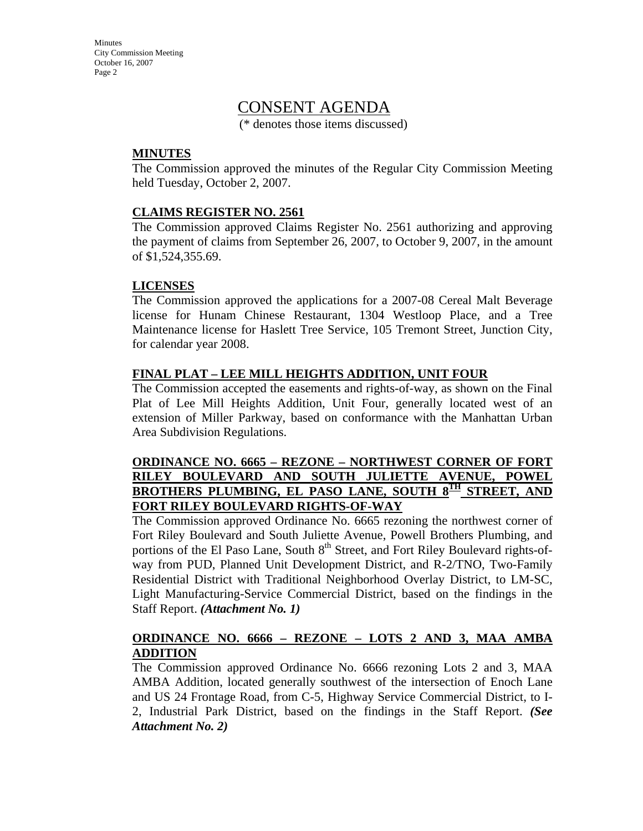# CONSENT AGENDA

(\* denotes those items discussed)

#### **MINUTES**

The Commission approved the minutes of the Regular City Commission Meeting held Tuesday, October 2, 2007.

#### **CLAIMS REGISTER NO. 2561**

The Commission approved Claims Register No. 2561 authorizing and approving the payment of claims from September 26, 2007, to October 9, 2007, in the amount of \$1,524,355.69.

#### **LICENSES**

The Commission approved the applications for a 2007-08 Cereal Malt Beverage license for Hunam Chinese Restaurant, 1304 Westloop Place, and a Tree Maintenance license for Haslett Tree Service, 105 Tremont Street, Junction City, for calendar year 2008.

#### **FINAL PLAT – LEE MILL HEIGHTS ADDITION, UNIT FOUR**

The Commission accepted the easements and rights-of-way, as shown on the Final Plat of Lee Mill Heights Addition, Unit Four, generally located west of an extension of Miller Parkway, based on conformance with the Manhattan Urban Area Subdivision Regulations.

#### **ORDINANCE NO. 6665 – REZONE – NORTHWEST CORNER OF FORT RILEY BOULEVARD AND SOUTH JULIETTE AVENUE, POWEL BROTHERS PLUMBING, EL PASO LANE, SOUTH 8TH STREET, AND FORT RILEY BOULEVARD RIGHTS-OF-WAY**

The Commission approved Ordinance No. 6665 rezoning the northwest corner of Fort Riley Boulevard and South Juliette Avenue, Powell Brothers Plumbing, and portions of the El Paso Lane, South  $8<sup>th</sup>$  Street, and Fort Riley Boulevard rights-ofway from PUD, Planned Unit Development District, and R-2/TNO, Two-Family Residential District with Traditional Neighborhood Overlay District, to LM-SC, Light Manufacturing-Service Commercial District, based on the findings in the Staff Report. *(Attachment No. 1)*

#### **ORDINANCE NO. 6666 – REZONE – LOTS 2 AND 3, MAA AMBA ADDITION**

The Commission approved Ordinance No. 6666 rezoning Lots 2 and 3, MAA AMBA Addition, located generally southwest of the intersection of Enoch Lane and US 24 Frontage Road, from C-5, Highway Service Commercial District, to I-2, Industrial Park District, based on the findings in the Staff Report. *(See Attachment No. 2)*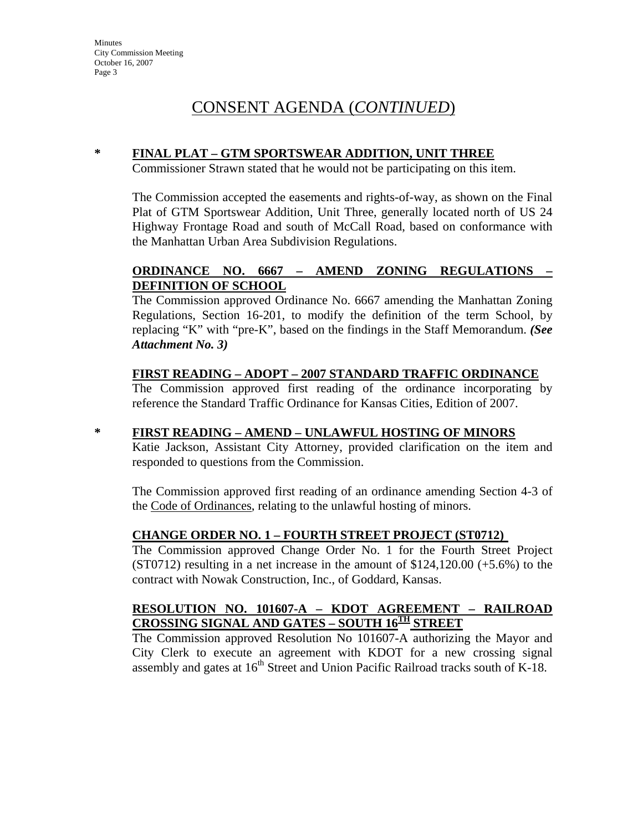# CONSENT AGENDA (*CONTINUED*)

### **\* FINAL PLAT – GTM SPORTSWEAR ADDITION, UNIT THREE**

Commissioner Strawn stated that he would not be participating on this item.

The Commission accepted the easements and rights-of-way, as shown on the Final Plat of GTM Sportswear Addition, Unit Three, generally located north of US 24 Highway Frontage Road and south of McCall Road, based on conformance with the Manhattan Urban Area Subdivision Regulations.

### **ORDINANCE NO. 6667 – AMEND ZONING REGULATIONS – DEFINITION OF SCHOOL**

The Commission approved Ordinance No. 6667 amending the Manhattan Zoning Regulations, Section 16-201, to modify the definition of the term School, by replacing "K" with "pre-K", based on the findings in the Staff Memorandum. *(See Attachment No. 3)*

#### **FIRST READING – ADOPT – 2007 STANDARD TRAFFIC ORDINANCE**

The Commission approved first reading of the ordinance incorporating by reference the Standard Traffic Ordinance for Kansas Cities, Edition of 2007.

#### **\* FIRST READING – AMEND – UNLAWFUL HOSTING OF MINORS**

Katie Jackson, Assistant City Attorney, provided clarification on the item and responded to questions from the Commission.

The Commission approved first reading of an ordinance amending Section 4-3 of the Code of Ordinances, relating to the unlawful hosting of minors.

#### **CHANGE ORDER NO. 1 – FOURTH STREET PROJECT (ST0712)**

The Commission approved Change Order No. 1 for the Fourth Street Project  $(ST0712)$  resulting in a net increase in the amount of \$124,120.00  $(+5.6%)$  to the contract with Nowak Construction, Inc., of Goddard, Kansas.

### **RESOLUTION NO. 101607-A – KDOT AGREEMENT – RAILROAD CROSSING SIGNAL AND GATES – SOUTH 16TH STREET**

The Commission approved Resolution No 101607-A authorizing the Mayor and City Clerk to execute an agreement with KDOT for a new crossing signal assembly and gates at  $16<sup>th</sup>$  Street and Union Pacific Railroad tracks south of K-18.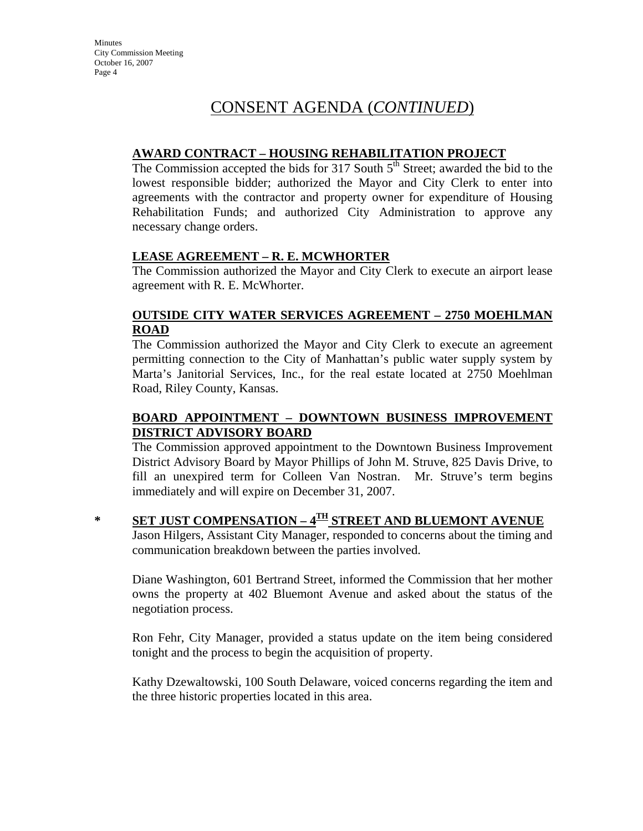# CONSENT AGENDA (*CONTINUED*)

#### **AWARD CONTRACT – HOUSING REHABILITATION PROJECT**

The Commission accepted the bids for 317 South  $5<sup>th</sup>$  Street; awarded the bid to the lowest responsible bidder; authorized the Mayor and City Clerk to enter into agreements with the contractor and property owner for expenditure of Housing Rehabilitation Funds; and authorized City Administration to approve any necessary change orders.

#### **LEASE AGREEMENT – R. E. MCWHORTER**

The Commission authorized the Mayor and City Clerk to execute an airport lease agreement with R. E. McWhorter.

#### **OUTSIDE CITY WATER SERVICES AGREEMENT – 2750 MOEHLMAN ROAD**

The Commission authorized the Mayor and City Clerk to execute an agreement permitting connection to the City of Manhattan's public water supply system by Marta's Janitorial Services, Inc., for the real estate located at 2750 Moehlman Road, Riley County, Kansas.

### **BOARD APPOINTMENT – DOWNTOWN BUSINESS IMPROVEMENT DISTRICT ADVISORY BOARD**

The Commission approved appointment to the Downtown Business Improvement District Advisory Board by Mayor Phillips of John M. Struve, 825 Davis Drive, to fill an unexpired term for Colleen Van Nostran. Mr. Struve's term begins immediately and will expire on December 31, 2007.

# **\* SET JUST COMPENSATION – 4TH STREET AND BLUEMONT AVENUE**

Jason Hilgers, Assistant City Manager, responded to concerns about the timing and communication breakdown between the parties involved.

Diane Washington, 601 Bertrand Street, informed the Commission that her mother owns the property at 402 Bluemont Avenue and asked about the status of the negotiation process.

Ron Fehr, City Manager, provided a status update on the item being considered tonight and the process to begin the acquisition of property.

Kathy Dzewaltowski, 100 South Delaware, voiced concerns regarding the item and the three historic properties located in this area.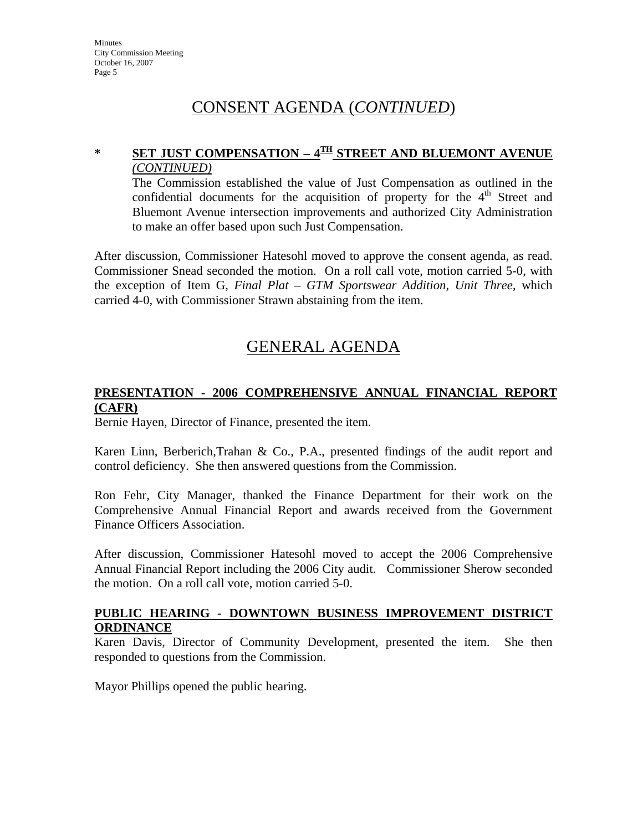# CONSENT AGENDA (*CONTINUED*)

## **\* SET JUST COMPENSATION – 4TH STREET AND BLUEMONT AVENUE** *(CONTINUED)*

The Commission established the value of Just Compensation as outlined in the confidential documents for the acquisition of property for the  $4<sup>th</sup>$  Street and Bluemont Avenue intersection improvements and authorized City Administration to make an offer based upon such Just Compensation.

After discussion, Commissioner Hatesohl moved to approve the consent agenda, as read. Commissioner Snead seconded the motion. On a roll call vote, motion carried 5-0, with the exception of Item G, *Final Plat – GTM Sportswear Addition, Unit Three,* which carried 4-0, with Commissioner Strawn abstaining from the item.

# GENERAL AGENDA

#### **PRESENTATION - 2006 COMPREHENSIVE ANNUAL FINANCIAL REPORT (CAFR)**

Bernie Hayen, Director of Finance, presented the item.

Karen Linn, Berberich,Trahan & Co., P.A., presented findings of the audit report and control deficiency. She then answered questions from the Commission.

Ron Fehr, City Manager, thanked the Finance Department for their work on the Comprehensive Annual Financial Report and awards received from the Government Finance Officers Association.

After discussion, Commissioner Hatesohl moved to accept the 2006 Comprehensive Annual Financial Report including the 2006 City audit. Commissioner Sherow seconded the motion. On a roll call vote, motion carried 5-0.

#### **PUBLIC HEARING - DOWNTOWN BUSINESS IMPROVEMENT DISTRICT ORDINANCE**

Karen Davis, Director of Community Development, presented the item. She then responded to questions from the Commission.

Mayor Phillips opened the public hearing.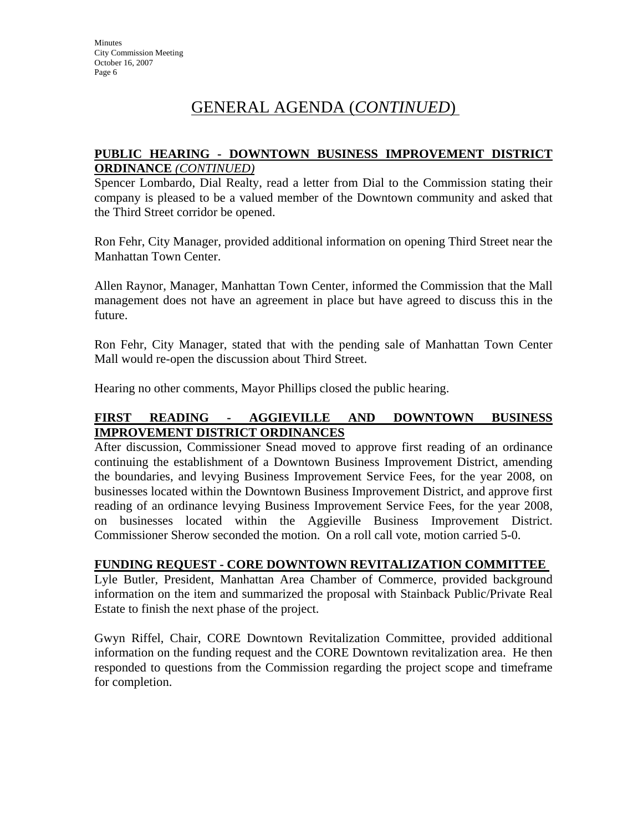# GENERAL AGENDA (*CONTINUED*)

#### **PUBLIC HEARING - DOWNTOWN BUSINESS IMPROVEMENT DISTRICT ORDINANCE** *(CONTINUED)*

Spencer Lombardo, Dial Realty, read a letter from Dial to the Commission stating their company is pleased to be a valued member of the Downtown community and asked that the Third Street corridor be opened.

Ron Fehr, City Manager, provided additional information on opening Third Street near the Manhattan Town Center.

Allen Raynor, Manager, Manhattan Town Center, informed the Commission that the Mall management does not have an agreement in place but have agreed to discuss this in the future.

Ron Fehr, City Manager, stated that with the pending sale of Manhattan Town Center Mall would re-open the discussion about Third Street.

Hearing no other comments, Mayor Phillips closed the public hearing.

#### **FIRST READING - AGGIEVILLE AND DOWNTOWN BUSINESS IMPROVEMENT DISTRICT ORDINANCES**

After discussion, Commissioner Snead moved to approve first reading of an ordinance continuing the establishment of a Downtown Business Improvement District, amending the boundaries, and levying Business Improvement Service Fees, for the year 2008, on businesses located within the Downtown Business Improvement District, and approve first reading of an ordinance levying Business Improvement Service Fees, for the year 2008, on businesses located within the Aggieville Business Improvement District. Commissioner Sherow seconded the motion. On a roll call vote, motion carried 5-0.

#### **FUNDING REQUEST - CORE DOWNTOWN REVITALIZATION COMMITTEE**

Lyle Butler, President, Manhattan Area Chamber of Commerce, provided background information on the item and summarized the proposal with Stainback Public/Private Real Estate to finish the next phase of the project.

Gwyn Riffel, Chair, CORE Downtown Revitalization Committee, provided additional information on the funding request and the CORE Downtown revitalization area. He then responded to questions from the Commission regarding the project scope and timeframe for completion.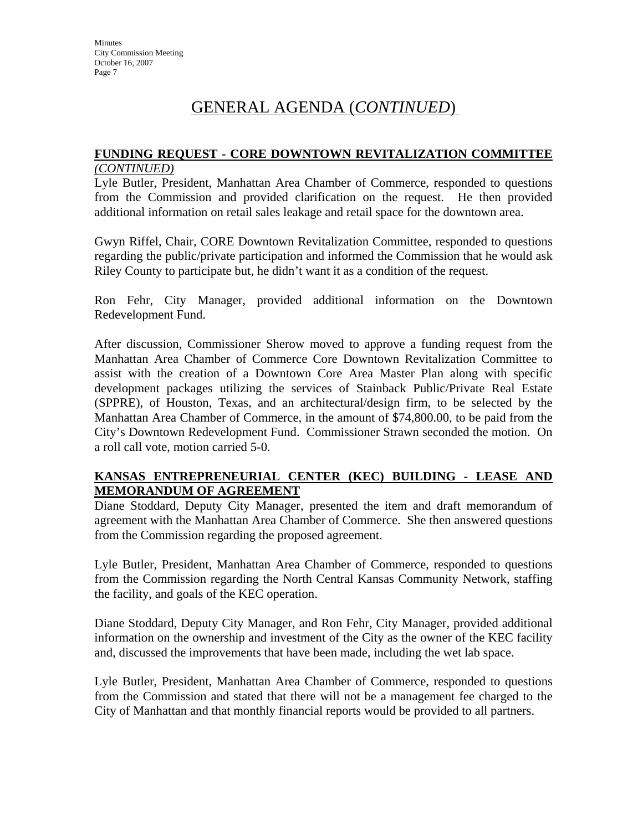# GENERAL AGENDA (*CONTINUED*)

#### **FUNDING REQUEST - CORE DOWNTOWN REVITALIZATION COMMITTEE**  *(CONTINUED)*

Lyle Butler, President, Manhattan Area Chamber of Commerce, responded to questions from the Commission and provided clarification on the request. He then provided additional information on retail sales leakage and retail space for the downtown area.

Gwyn Riffel, Chair, CORE Downtown Revitalization Committee, responded to questions regarding the public/private participation and informed the Commission that he would ask Riley County to participate but, he didn't want it as a condition of the request.

Ron Fehr, City Manager, provided additional information on the Downtown Redevelopment Fund.

After discussion, Commissioner Sherow moved to approve a funding request from the Manhattan Area Chamber of Commerce Core Downtown Revitalization Committee to assist with the creation of a Downtown Core Area Master Plan along with specific development packages utilizing the services of Stainback Public/Private Real Estate (SPPRE), of Houston, Texas, and an architectural/design firm, to be selected by the Manhattan Area Chamber of Commerce, in the amount of \$74,800.00, to be paid from the City's Downtown Redevelopment Fund. Commissioner Strawn seconded the motion. On a roll call vote, motion carried 5-0.

#### **KANSAS ENTREPRENEURIAL CENTER (KEC) BUILDING - LEASE AND MEMORANDUM OF AGREEMENT**

Diane Stoddard, Deputy City Manager, presented the item and draft memorandum of agreement with the Manhattan Area Chamber of Commerce. She then answered questions from the Commission regarding the proposed agreement.

Lyle Butler, President, Manhattan Area Chamber of Commerce, responded to questions from the Commission regarding the North Central Kansas Community Network, staffing the facility, and goals of the KEC operation.

Diane Stoddard, Deputy City Manager, and Ron Fehr, City Manager, provided additional information on the ownership and investment of the City as the owner of the KEC facility and, discussed the improvements that have been made, including the wet lab space.

Lyle Butler, President, Manhattan Area Chamber of Commerce, responded to questions from the Commission and stated that there will not be a management fee charged to the City of Manhattan and that monthly financial reports would be provided to all partners.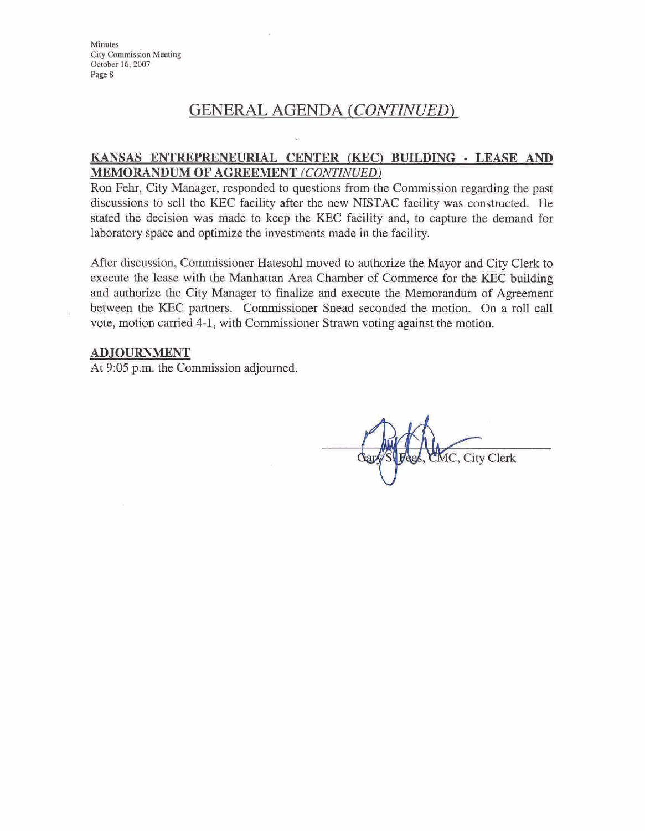# GENERAL AGENDA *(CONTINUED)*

#### **KANSAS ENTREPRENEURIAL CENTER (ICEC'I BUILDING** - **LEASE AND MEMORANDUM OF AGREEMENT** *(CONTINUED)*

Ron Fehr, City Manager, responded to questions from the Commission regarding the past discussions to sell the KEC facility after the new NISTAC facility was constructed. He stated the decision was **made** to keep the KEC facility and, to capture the demand for laboratory space and optimize the investments made in the facility.

After discussion, Commissioner Hatesohl moved to authorize the Mayor and City Clerk to execute the lease with the Manhattan Area Chamber of Commerce for the KEC building and authorize the City Manager to finalize and execute the Memorandum of Agreement between the KEC partners. Commissioner Snead seconded the motion. On a roll call vote, motion carried 4-1, with Commissioner Strawn voting against the motion.

#### ADJOURNMENT

At 9:05 p.m. the Commission adjourned.

**MC, City Clerk**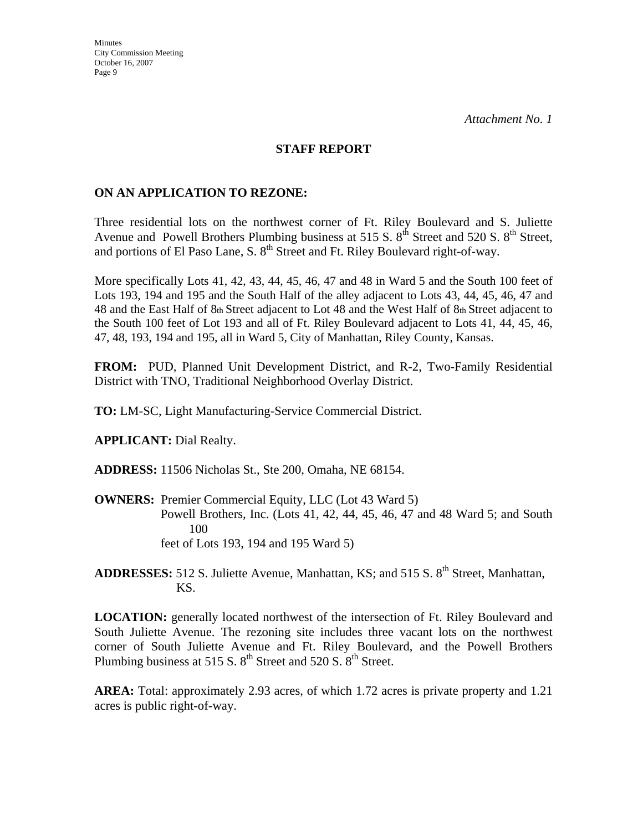#### **STAFF REPORT**

#### **ON AN APPLICATION TO REZONE:**

Three residential lots on the northwest corner of Ft. Riley Boulevard and S. Juliette Avenue and Powell Brothers Plumbing business at 515 S.  $8<sup>th</sup>$  Street and 520 S.  $8<sup>th</sup>$  Street, and portions of El Paso Lane, S. 8<sup>th</sup> Street and Ft. Riley Boulevard right-of-way.

More specifically Lots 41, 42, 43, 44, 45, 46, 47 and 48 in Ward 5 and the South 100 feet of Lots 193, 194 and 195 and the South Half of the alley adjacent to Lots 43, 44, 45, 46, 47 and 48 and the East Half of 8th Street adjacent to Lot 48 and the West Half of 8th Street adjacent to the South 100 feet of Lot 193 and all of Ft. Riley Boulevard adjacent to Lots 41, 44, 45, 46, 47, 48, 193, 194 and 195, all in Ward 5, City of Manhattan, Riley County, Kansas.

**FROM:** PUD, Planned Unit Development District, and R-2, Two-Family Residential District with TNO, Traditional Neighborhood Overlay District.

**TO:** LM-SC, Light Manufacturing-Service Commercial District.

**APPLICANT:** Dial Realty.

**ADDRESS:** 11506 Nicholas St., Ste 200, Omaha, NE 68154.

**OWNERS:** Premier Commercial Equity, LLC (Lot 43 Ward 5) Powell Brothers, Inc. (Lots 41, 42, 44, 45, 46, 47 and 48 Ward 5; and South 100 feet of Lots 193, 194 and 195 Ward 5)

ADDRESSES: 512 S. Juliette Avenue, Manhattan, KS; and 515 S. 8<sup>th</sup> Street, Manhattan, KS.

**LOCATION:** generally located northwest of the intersection of Ft. Riley Boulevard and South Juliette Avenue. The rezoning site includes three vacant lots on the northwest corner of South Juliette Avenue and Ft. Riley Boulevard, and the Powell Brothers Plumbing business at 515 S.  $8<sup>th</sup>$  Street and 520 S.  $8<sup>th</sup>$  Street.

**AREA:** Total: approximately 2.93 acres, of which 1.72 acres is private property and 1.21 acres is public right-of-way.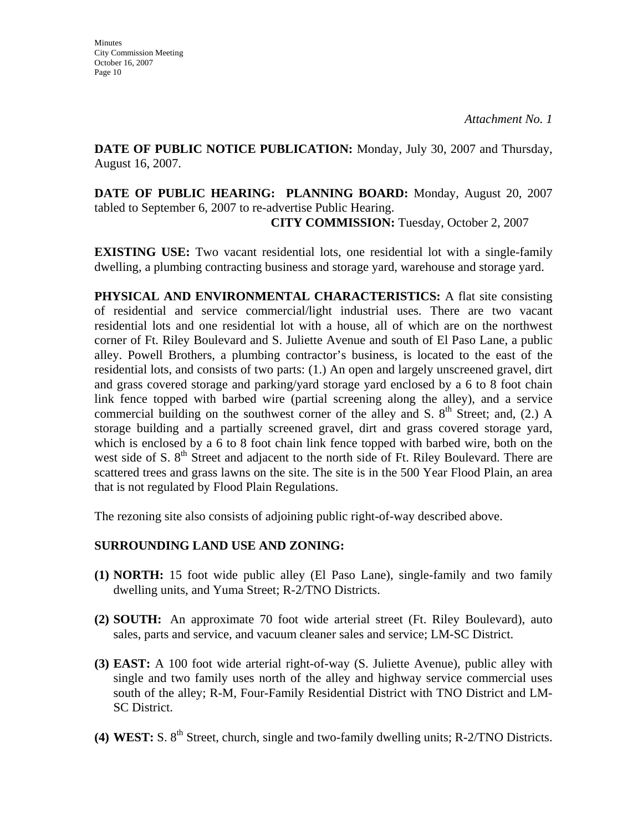**DATE OF PUBLIC NOTICE PUBLICATION:** Monday, July 30, 2007 and Thursday, August 16, 2007.

**DATE OF PUBLIC HEARING: PLANNING BOARD:** Monday, August 20, 2007 tabled to September 6, 2007 to re-advertise Public Hearing. **CITY COMMISSION:** Tuesday, October 2, 2007

**EXISTING USE:** Two vacant residential lots, one residential lot with a single-family dwelling, a plumbing contracting business and storage yard, warehouse and storage yard.

**PHYSICAL AND ENVIRONMENTAL CHARACTERISTICS:** A flat site consisting of residential and service commercial/light industrial uses. There are two vacant residential lots and one residential lot with a house, all of which are on the northwest corner of Ft. Riley Boulevard and S. Juliette Avenue and south of El Paso Lane, a public alley. Powell Brothers, a plumbing contractor's business, is located to the east of the residential lots, and consists of two parts: (1.) An open and largely unscreened gravel, dirt and grass covered storage and parking/yard storage yard enclosed by a 6 to 8 foot chain link fence topped with barbed wire (partial screening along the alley), and a service commercial building on the southwest corner of the alley and S.  $8<sup>th</sup>$  Street; and, (2.) A storage building and a partially screened gravel, dirt and grass covered storage yard, which is enclosed by a 6 to 8 foot chain link fence topped with barbed wire, both on the west side of S.  $8<sup>th</sup>$  Street and adjacent to the north side of Ft. Riley Boulevard. There are scattered trees and grass lawns on the site. The site is in the 500 Year Flood Plain, an area that is not regulated by Flood Plain Regulations.

The rezoning site also consists of adjoining public right-of-way described above.

### **SURROUNDING LAND USE AND ZONING:**

- **(1) NORTH:** 15 foot wide public alley (El Paso Lane), single-family and two family dwelling units, and Yuma Street; R-2/TNO Districts.
- **(2) SOUTH:** An approximate 70 foot wide arterial street (Ft. Riley Boulevard), auto sales, parts and service, and vacuum cleaner sales and service; LM-SC District.
- **(3) EAST:** A 100 foot wide arterial right-of-way (S. Juliette Avenue), public alley with single and two family uses north of the alley and highway service commercial uses south of the alley; R-M, Four-Family Residential District with TNO District and LM-SC District.
- **(4) WEST:** S. 8th Street, church, single and two-family dwelling units; R-2/TNO Districts.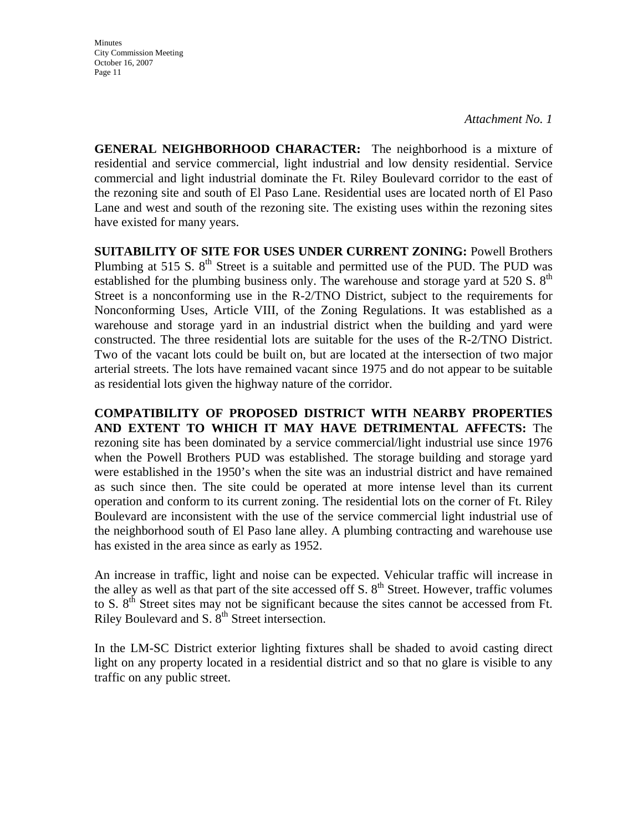*Attachment No. 1* 

**GENERAL NEIGHBORHOOD CHARACTER:** The neighborhood is a mixture of residential and service commercial, light industrial and low density residential. Service commercial and light industrial dominate the Ft. Riley Boulevard corridor to the east of the rezoning site and south of El Paso Lane. Residential uses are located north of El Paso Lane and west and south of the rezoning site. The existing uses within the rezoning sites have existed for many years.

**SUITABILITY OF SITE FOR USES UNDER CURRENT ZONING:** Powell Brothers Plumbing at 515 S.  $8<sup>th</sup>$  Street is a suitable and permitted use of the PUD. The PUD was established for the plumbing business only. The warehouse and storage yard at 520 S.  $8<sup>th</sup>$ Street is a nonconforming use in the R-2/TNO District, subject to the requirements for Nonconforming Uses, Article VIII, of the Zoning Regulations. It was established as a warehouse and storage yard in an industrial district when the building and yard were constructed. The three residential lots are suitable for the uses of the R-2/TNO District. Two of the vacant lots could be built on, but are located at the intersection of two major arterial streets. The lots have remained vacant since 1975 and do not appear to be suitable as residential lots given the highway nature of the corridor.

**COMPATIBILITY OF PROPOSED DISTRICT WITH NEARBY PROPERTIES AND EXTENT TO WHICH IT MAY HAVE DETRIMENTAL AFFECTS:** The rezoning site has been dominated by a service commercial/light industrial use since 1976 when the Powell Brothers PUD was established. The storage building and storage yard were established in the 1950's when the site was an industrial district and have remained as such since then. The site could be operated at more intense level than its current operation and conform to its current zoning. The residential lots on the corner of Ft. Riley Boulevard are inconsistent with the use of the service commercial light industrial use of the neighborhood south of El Paso lane alley. A plumbing contracting and warehouse use has existed in the area since as early as 1952.

An increase in traffic, light and noise can be expected. Vehicular traffic will increase in the alley as well as that part of the site accessed off S.  $8<sup>th</sup>$  Street. However, traffic volumes to S. 8<sup>th</sup> Street sites may not be significant because the sites cannot be accessed from Ft. Riley Boulevard and S. 8<sup>th</sup> Street intersection.

In the LM-SC District exterior lighting fixtures shall be shaded to avoid casting direct light on any property located in a residential district and so that no glare is visible to any traffic on any public street.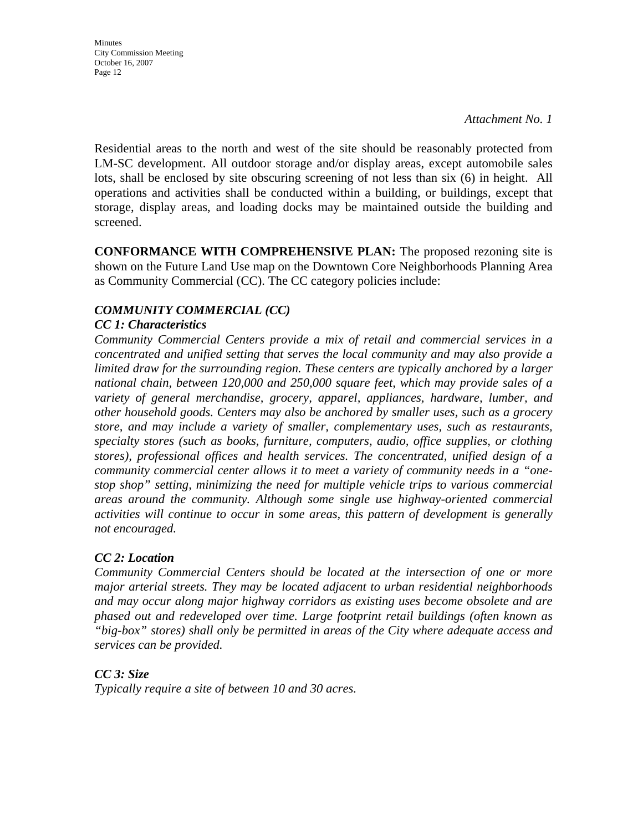*Attachment No. 1* 

Residential areas to the north and west of the site should be reasonably protected from LM-SC development. All outdoor storage and/or display areas, except automobile sales lots, shall be enclosed by site obscuring screening of not less than six (6) in height. All operations and activities shall be conducted within a building, or buildings, except that storage, display areas, and loading docks may be maintained outside the building and screened.

**CONFORMANCE WITH COMPREHENSIVE PLAN:** The proposed rezoning site is shown on the Future Land Use map on the Downtown Core Neighborhoods Planning Area as Community Commercial (CC). The CC category policies include:

### *COMMUNITY COMMERCIAL (CC)*

#### *CC 1: Characteristics*

*Community Commercial Centers provide a mix of retail and commercial services in a concentrated and unified setting that serves the local community and may also provide a limited draw for the surrounding region. These centers are typically anchored by a larger national chain, between 120,000 and 250,000 square feet, which may provide sales of a variety of general merchandise, grocery, apparel, appliances, hardware, lumber, and other household goods. Centers may also be anchored by smaller uses, such as a grocery store, and may include a variety of smaller, complementary uses, such as restaurants, specialty stores (such as books, furniture, computers, audio, office supplies, or clothing stores), professional offices and health services. The concentrated, unified design of a community commercial center allows it to meet a variety of community needs in a "onestop shop" setting, minimizing the need for multiple vehicle trips to various commercial areas around the community. Although some single use highway-oriented commercial activities will continue to occur in some areas, this pattern of development is generally not encouraged.* 

#### *CC 2: Location*

*Community Commercial Centers should be located at the intersection of one or more major arterial streets. They may be located adjacent to urban residential neighborhoods and may occur along major highway corridors as existing uses become obsolete and are phased out and redeveloped over time. Large footprint retail buildings (often known as "big-box" stores) shall only be permitted in areas of the City where adequate access and services can be provided.* 

#### *CC 3: Size*

*Typically require a site of between 10 and 30 acres.*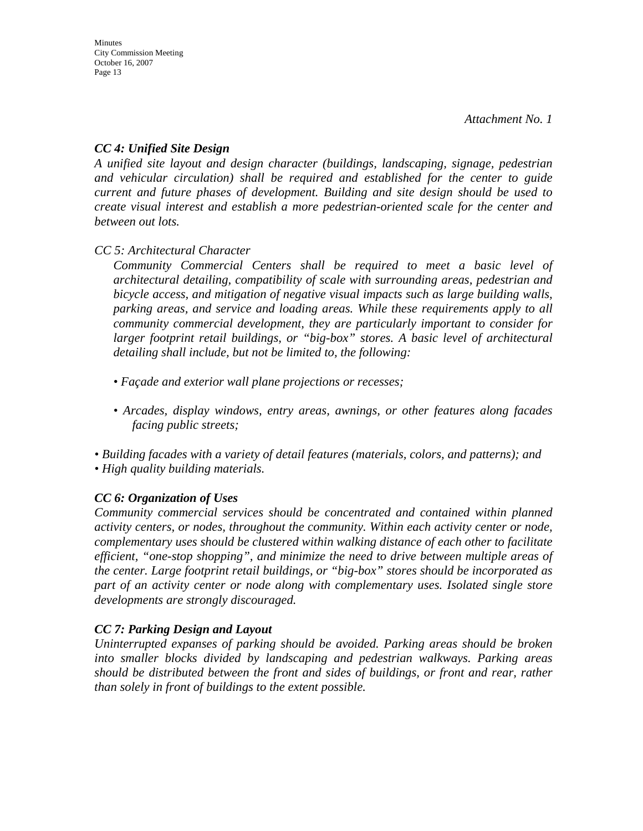#### *CC 4: Unified Site Design*

*A unified site layout and design character (buildings, landscaping, signage, pedestrian and vehicular circulation) shall be required and established for the center to guide current and future phases of development. Building and site design should be used to create visual interest and establish a more pedestrian-oriented scale for the center and between out lots.* 

*CC 5: Architectural Character* 

*Community Commercial Centers shall be required to meet a basic level of architectural detailing, compatibility of scale with surrounding areas, pedestrian and bicycle access, and mitigation of negative visual impacts such as large building walls, parking areas, and service and loading areas. While these requirements apply to all community commercial development, they are particularly important to consider for larger footprint retail buildings, or "big-box" stores. A basic level of architectural detailing shall include, but not be limited to, the following:* 

- *Façade and exterior wall plane projections or recesses;*
- *Arcades, display windows, entry areas, awnings, or other features along facades facing public streets;*

*• Building facades with a variety of detail features (materials, colors, and patterns); and • High quality building materials.* 

### *CC 6: Organization of Uses*

*Community commercial services should be concentrated and contained within planned activity centers, or nodes, throughout the community. Within each activity center or node, complementary uses should be clustered within walking distance of each other to facilitate efficient, "one-stop shopping", and minimize the need to drive between multiple areas of the center. Large footprint retail buildings, or "big-box" stores should be incorporated as part of an activity center or node along with complementary uses. Isolated single store developments are strongly discouraged.* 

### *CC 7: Parking Design and Layout*

*Uninterrupted expanses of parking should be avoided. Parking areas should be broken into smaller blocks divided by landscaping and pedestrian walkways. Parking areas should be distributed between the front and sides of buildings, or front and rear, rather than solely in front of buildings to the extent possible.*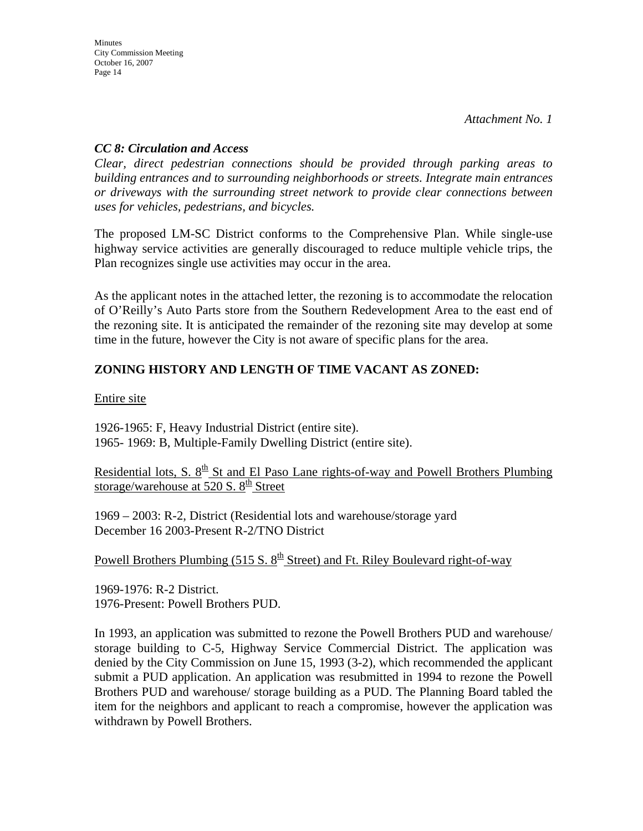#### *CC 8: Circulation and Access*

*Clear, direct pedestrian connections should be provided through parking areas to building entrances and to surrounding neighborhoods or streets. Integrate main entrances or driveways with the surrounding street network to provide clear connections between uses for vehicles, pedestrians, and bicycles.* 

The proposed LM-SC District conforms to the Comprehensive Plan. While single-use highway service activities are generally discouraged to reduce multiple vehicle trips, the Plan recognizes single use activities may occur in the area.

As the applicant notes in the attached letter, the rezoning is to accommodate the relocation of O'Reilly's Auto Parts store from the Southern Redevelopment Area to the east end of the rezoning site. It is anticipated the remainder of the rezoning site may develop at some time in the future, however the City is not aware of specific plans for the area.

### **ZONING HISTORY AND LENGTH OF TIME VACANT AS ZONED:**

Entire site

1926-1965: F, Heavy Industrial District (entire site). 1965- 1969: B, Multiple-Family Dwelling District (entire site).

Residential lots, S.  $8<sup>th</sup>$  St and El Paso Lane rights-of-way and Powell Brothers Plumbing storage/warehouse at 520 S.  $8<sup>th</sup>$  Street

1969 – 2003: R-2, District (Residential lots and warehouse/storage yard December 16 2003-Present R-2/TNO District

Powell Brothers Plumbing (515 S.  $8<sup>th</sup>$  Street) and Ft. Riley Boulevard right-of-way

1969-1976: R-2 District. 1976-Present: Powell Brothers PUD.

In 1993, an application was submitted to rezone the Powell Brothers PUD and warehouse/ storage building to C-5, Highway Service Commercial District. The application was denied by the City Commission on June 15, 1993 (3-2), which recommended the applicant submit a PUD application. An application was resubmitted in 1994 to rezone the Powell Brothers PUD and warehouse/ storage building as a PUD. The Planning Board tabled the item for the neighbors and applicant to reach a compromise, however the application was withdrawn by Powell Brothers.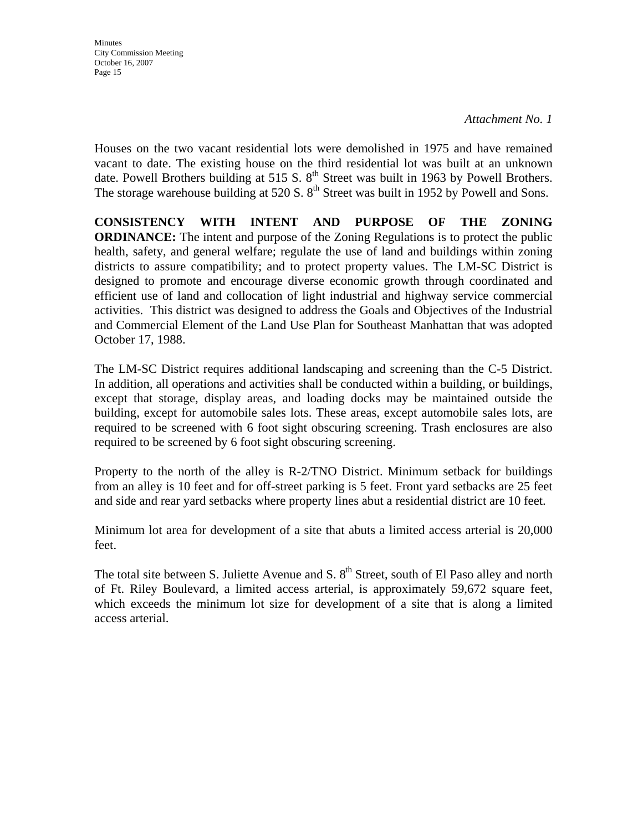#### *Attachment No. 1*

Houses on the two vacant residential lots were demolished in 1975 and have remained vacant to date. The existing house on the third residential lot was built at an unknown date. Powell Brothers building at 515 S.  $8<sup>th</sup>$  Street was built in 1963 by Powell Brothers. The storage warehouse building at 520 S.  $8<sup>th</sup>$  Street was built in 1952 by Powell and Sons.

**CONSISTENCY WITH INTENT AND PURPOSE OF THE ZONING ORDINANCE:** The intent and purpose of the Zoning Regulations is to protect the public health, safety, and general welfare; regulate the use of land and buildings within zoning districts to assure compatibility; and to protect property values. The LM-SC District is designed to promote and encourage diverse economic growth through coordinated and efficient use of land and collocation of light industrial and highway service commercial activities. This district was designed to address the Goals and Objectives of the Industrial and Commercial Element of the Land Use Plan for Southeast Manhattan that was adopted October 17, 1988.

The LM-SC District requires additional landscaping and screening than the C-5 District. In addition, all operations and activities shall be conducted within a building, or buildings, except that storage, display areas, and loading docks may be maintained outside the building, except for automobile sales lots. These areas, except automobile sales lots, are required to be screened with 6 foot sight obscuring screening. Trash enclosures are also required to be screened by 6 foot sight obscuring screening.

Property to the north of the alley is R-2/TNO District. Minimum setback for buildings from an alley is 10 feet and for off-street parking is 5 feet. Front yard setbacks are 25 feet and side and rear yard setbacks where property lines abut a residential district are 10 feet.

Minimum lot area for development of a site that abuts a limited access arterial is 20,000 feet.

The total site between S. Juliette Avenue and S. 8<sup>th</sup> Street, south of El Paso alley and north of Ft. Riley Boulevard, a limited access arterial, is approximately 59,672 square feet, which exceeds the minimum lot size for development of a site that is along a limited access arterial.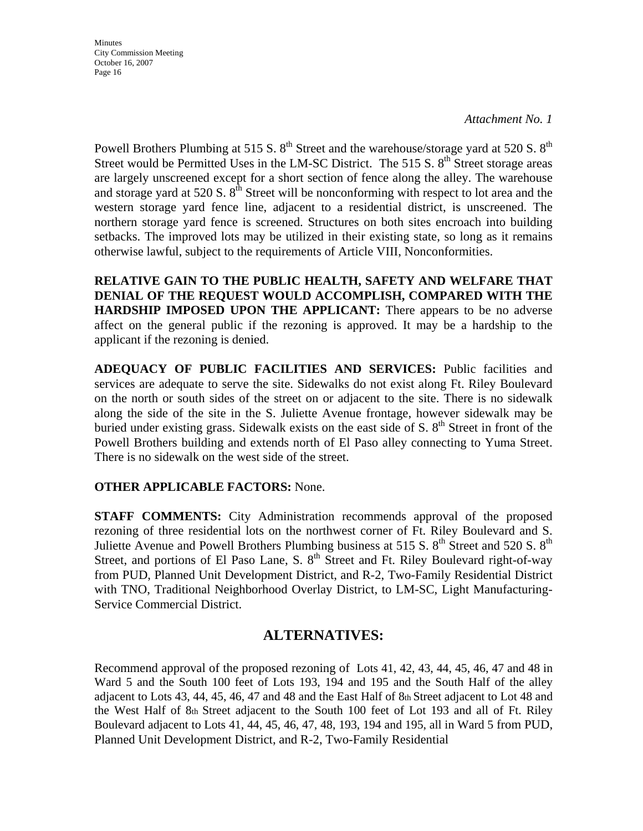*Attachment No. 1* 

Powell Brothers Plumbing at 515 S.  $8^{th}$  Street and the warehouse/storage yard at 520 S.  $8^{th}$ Street would be Permitted Uses in the LM-SC District. The 515 S,  $8<sup>th</sup>$  Street storage areas are largely unscreened except for a short section of fence along the alley. The warehouse and storage yard at 520 S.  $8<sup>th</sup>$  Street will be nonconforming with respect to lot area and the western storage yard fence line, adjacent to a residential district, is unscreened. The northern storage yard fence is screened. Structures on both sites encroach into building setbacks. The improved lots may be utilized in their existing state, so long as it remains otherwise lawful, subject to the requirements of Article VIII, Nonconformities.

**RELATIVE GAIN TO THE PUBLIC HEALTH, SAFETY AND WELFARE THAT DENIAL OF THE REQUEST WOULD ACCOMPLISH, COMPARED WITH THE HARDSHIP IMPOSED UPON THE APPLICANT:** There appears to be no adverse affect on the general public if the rezoning is approved. It may be a hardship to the applicant if the rezoning is denied.

**ADEQUACY OF PUBLIC FACILITIES AND SERVICES:** Public facilities and services are adequate to serve the site. Sidewalks do not exist along Ft. Riley Boulevard on the north or south sides of the street on or adjacent to the site. There is no sidewalk along the side of the site in the S. Juliette Avenue frontage, however sidewalk may be buried under existing grass. Sidewalk exists on the east side of S.  $8<sup>th</sup>$  Street in front of the Powell Brothers building and extends north of El Paso alley connecting to Yuma Street. There is no sidewalk on the west side of the street.

#### **OTHER APPLICABLE FACTORS:** None.

**STAFF COMMENTS:** City Administration recommends approval of the proposed rezoning of three residential lots on the northwest corner of Ft. Riley Boulevard and S. Juliette Avenue and Powell Brothers Plumbing business at 515 S.  $8<sup>th</sup>$  Street and 520 S.  $8<sup>th</sup>$ Street, and portions of El Paso Lane, S.  $8<sup>th</sup>$  Street and Ft. Riley Boulevard right-of-way from PUD, Planned Unit Development District, and R-2, Two-Family Residential District with TNO, Traditional Neighborhood Overlay District, to LM-SC, Light Manufacturing-Service Commercial District.

### **ALTERNATIVES:**

Recommend approval of the proposed rezoning of Lots 41, 42, 43, 44, 45, 46, 47 and 48 in Ward 5 and the South 100 feet of Lots 193, 194 and 195 and the South Half of the alley adjacent to Lots 43, 44, 45, 46, 47 and 48 and the East Half of 8th Street adjacent to Lot 48 and the West Half of 8th Street adjacent to the South 100 feet of Lot 193 and all of Ft. Riley Boulevard adjacent to Lots 41, 44, 45, 46, 47, 48, 193, 194 and 195, all in Ward 5 from PUD, Planned Unit Development District, and R-2, Two-Family Residential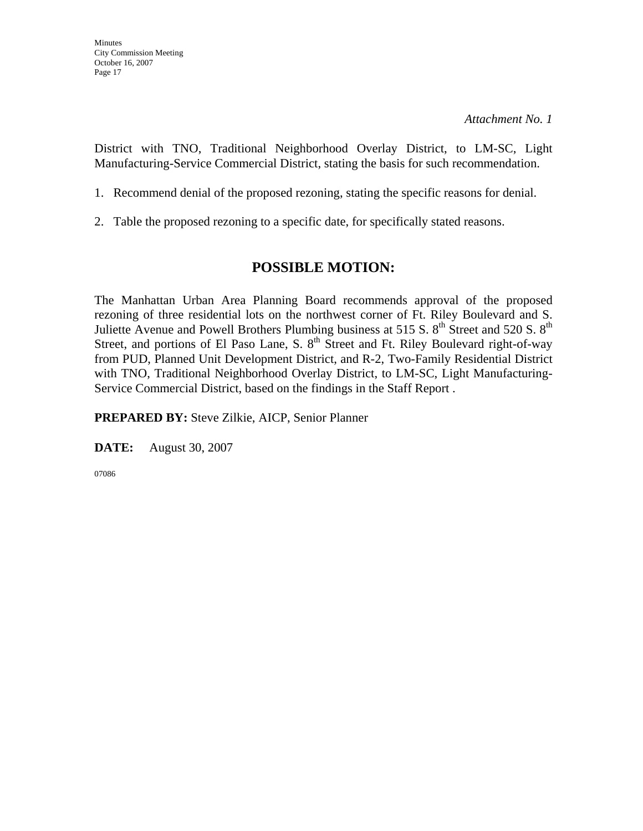District with TNO, Traditional Neighborhood Overlay District, to LM-SC, Light Manufacturing-Service Commercial District, stating the basis for such recommendation.

- 1. Recommend denial of the proposed rezoning, stating the specific reasons for denial.
- 2. Table the proposed rezoning to a specific date, for specifically stated reasons.

## **POSSIBLE MOTION:**

The Manhattan Urban Area Planning Board recommends approval of the proposed rezoning of three residential lots on the northwest corner of Ft. Riley Boulevard and S. Juliette Avenue and Powell Brothers Plumbing business at 515 S.  $8<sup>th</sup>$  Street and 520 S.  $8<sup>th</sup>$ Street, and portions of El Paso Lane, S. 8<sup>th</sup> Street and Ft. Riley Boulevard right-of-way from PUD, Planned Unit Development District, and R-2, Two-Family Residential District with TNO, Traditional Neighborhood Overlay District, to LM-SC, Light Manufacturing-Service Commercial District, based on the findings in the Staff Report .

**PREPARED BY:** Steve Zilkie, AICP, Senior Planner

**DATE:** August 30, 2007

07086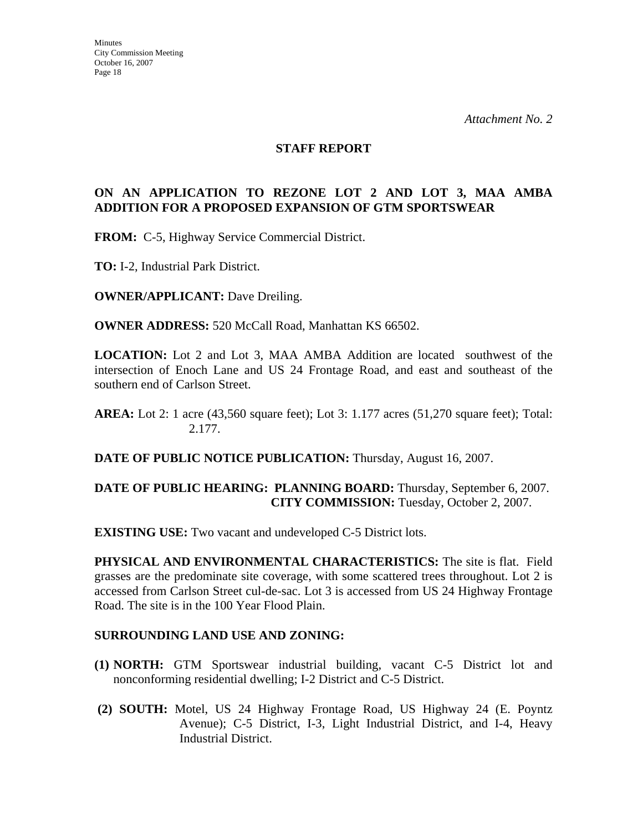#### **STAFF REPORT**

#### **ON AN APPLICATION TO REZONE LOT 2 AND LOT 3, MAA AMBA ADDITION FOR A PROPOSED EXPANSION OF GTM SPORTSWEAR**

**FROM:** C-5, Highway Service Commercial District.

**TO:** I-2, Industrial Park District.

**OWNER/APPLICANT:** Dave Dreiling.

**OWNER ADDRESS:** 520 McCall Road, Manhattan KS 66502.

**LOCATION:** Lot 2 and Lot 3, MAA AMBA Addition are located southwest of the intersection of Enoch Lane and US 24 Frontage Road, and east and southeast of the southern end of Carlson Street.

**DATE OF PUBLIC NOTICE PUBLICATION:** Thursday, August 16, 2007.

#### **DATE OF PUBLIC HEARING: PLANNING BOARD:** Thursday, September 6, 2007. **CITY COMMISSION:** Tuesday, October 2, 2007.

**EXISTING USE:** Two vacant and undeveloped C-5 District lots.

**PHYSICAL AND ENVIRONMENTAL CHARACTERISTICS:** The site is flat. Field grasses are the predominate site coverage, with some scattered trees throughout. Lot 2 is accessed from Carlson Street cul-de-sac. Lot 3 is accessed from US 24 Highway Frontage Road. The site is in the 100 Year Flood Plain.

#### **SURROUNDING LAND USE AND ZONING:**

- **(1) NORTH:** GTM Sportswear industrial building, vacant C-5 District lot and nonconforming residential dwelling; I-2 District and C-5 District.
- **(2) SOUTH:** Motel, US 24 Highway Frontage Road, US Highway 24 (E. Poyntz Avenue); C-5 District, I-3, Light Industrial District, and I-4, Heavy Industrial District.

**AREA:** Lot 2: 1 acre (43,560 square feet); Lot 3: 1.177 acres (51,270 square feet); Total: 2.177.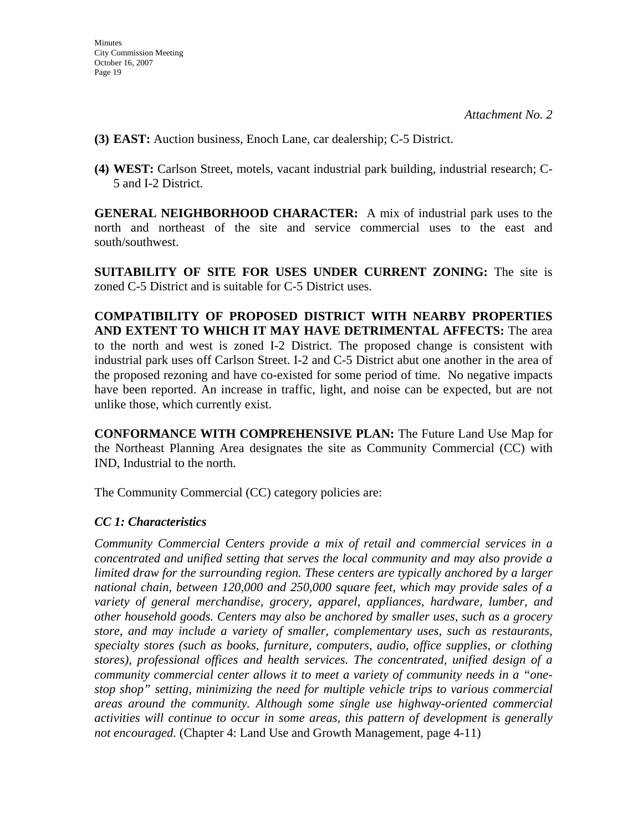- **(3) EAST:** Auction business, Enoch Lane, car dealership; C-5 District.
- **(4) WEST:** Carlson Street, motels, vacant industrial park building, industrial research; C-5 and I-2 District.

**GENERAL NEIGHBORHOOD CHARACTER:** A mix of industrial park uses to the north and northeast of the site and service commercial uses to the east and south/southwest.

**SUITABILITY OF SITE FOR USES UNDER CURRENT ZONING:** The site is zoned C-5 District and is suitable for C-5 District uses.

**COMPATIBILITY OF PROPOSED DISTRICT WITH NEARBY PROPERTIES AND EXTENT TO WHICH IT MAY HAVE DETRIMENTAL AFFECTS:** The area to the north and west is zoned I-2 District. The proposed change is consistent with industrial park uses off Carlson Street. I-2 and C-5 District abut one another in the area of the proposed rezoning and have co-existed for some period of time. No negative impacts have been reported. An increase in traffic, light, and noise can be expected, but are not unlike those, which currently exist.

**CONFORMANCE WITH COMPREHENSIVE PLAN:** The Future Land Use Map for the Northeast Planning Area designates the site as Community Commercial (CC) with IND, Industrial to the north.

The Community Commercial (CC) category policies are:

#### *CC 1: Characteristics*

*Community Commercial Centers provide a mix of retail and commercial services in a concentrated and unified setting that serves the local community and may also provide a limited draw for the surrounding region. These centers are typically anchored by a larger national chain, between 120,000 and 250,000 square feet, which may provide sales of a variety of general merchandise, grocery, apparel, appliances, hardware, lumber, and other household goods. Centers may also be anchored by smaller uses, such as a grocery store, and may include a variety of smaller, complementary uses, such as restaurants, specialty stores (such as books, furniture, computers, audio, office supplies, or clothing stores), professional offices and health services. The concentrated, unified design of a community commercial center allows it to meet a variety of community needs in a "onestop shop" setting, minimizing the need for multiple vehicle trips to various commercial areas around the community. Although some single use highway-oriented commercial activities will continue to occur in some areas, this pattern of development is generally not encouraged.* (Chapter 4: Land Use and Growth Management, page 4-11)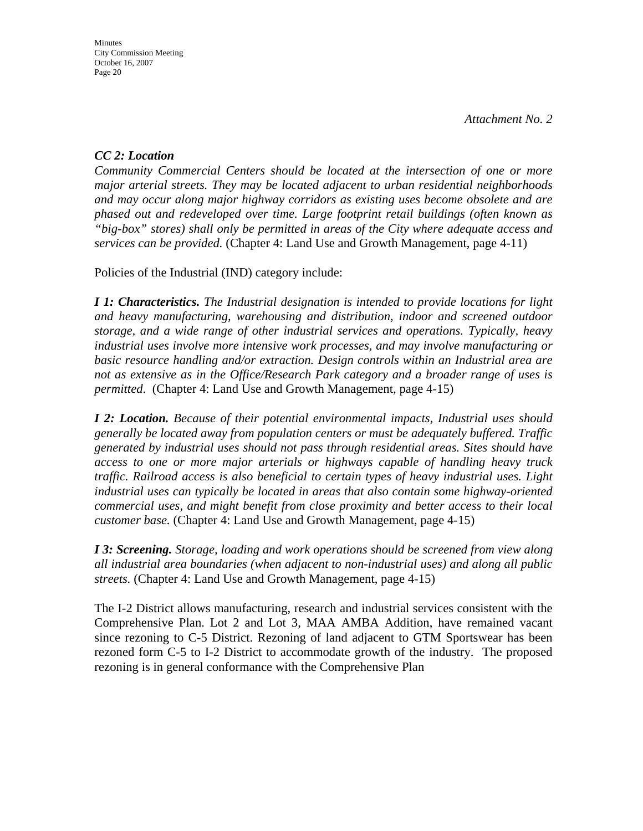### *CC 2: Location*

*Community Commercial Centers should be located at the intersection of one or more major arterial streets. They may be located adjacent to urban residential neighborhoods and may occur along major highway corridors as existing uses become obsolete and are phased out and redeveloped over time. Large footprint retail buildings (often known as "big-box" stores) shall only be permitted in areas of the City where adequate access and services can be provided.* (Chapter 4: Land Use and Growth Management, page 4-11)

Policies of the Industrial (IND) category include:

*I 1: Characteristics. The Industrial designation is intended to provide locations for light and heavy manufacturing, warehousing and distribution, indoor and screened outdoor storage, and a wide range of other industrial services and operations. Typically, heavy industrial uses involve more intensive work processes, and may involve manufacturing or basic resource handling and/or extraction. Design controls within an Industrial area are not as extensive as in the Office/Research Park category and a broader range of uses is permitted*. (Chapter 4: Land Use and Growth Management, page 4-15)

*I 2: Location. Because of their potential environmental impacts, Industrial uses should generally be located away from population centers or must be adequately buffered. Traffic generated by industrial uses should not pass through residential areas. Sites should have access to one or more major arterials or highways capable of handling heavy truck traffic. Railroad access is also beneficial to certain types of heavy industrial uses. Light industrial uses can typically be located in areas that also contain some highway-oriented commercial uses, and might benefit from close proximity and better access to their local customer base.* (Chapter 4: Land Use and Growth Management, page 4-15)

*I 3: Screening. Storage, loading and work operations should be screened from view along all industrial area boundaries (when adjacent to non-industrial uses) and along all public streets.* (Chapter 4: Land Use and Growth Management, page 4-15)

The I-2 District allows manufacturing, research and industrial services consistent with the Comprehensive Plan. Lot 2 and Lot 3, MAA AMBA Addition, have remained vacant since rezoning to C-5 District. Rezoning of land adjacent to GTM Sportswear has been rezoned form C-5 to I-2 District to accommodate growth of the industry. The proposed rezoning is in general conformance with the Comprehensive Plan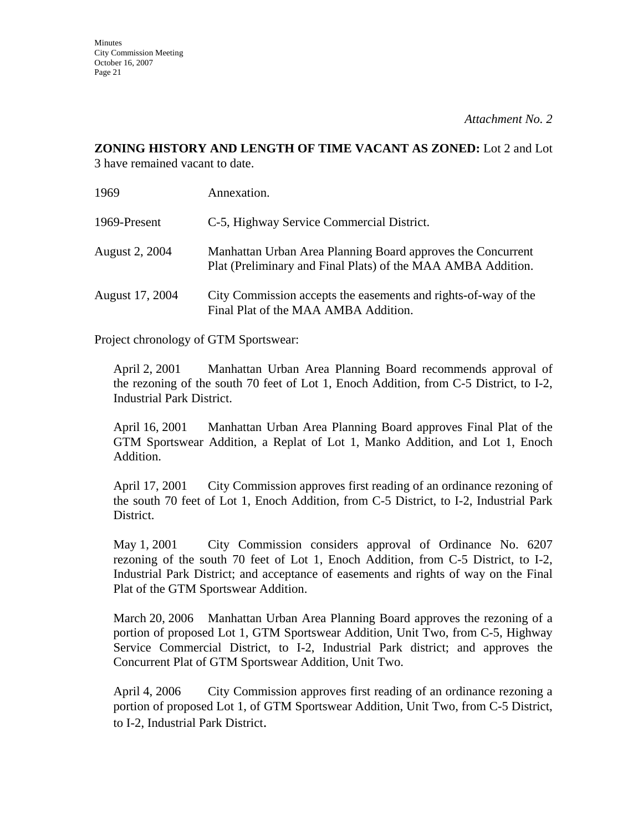# **ZONING HISTORY AND LENGTH OF TIME VACANT AS ZONED:** Lot 2 and Lot

3 have remained vacant to date.

| 1969                  | Annexation.                                                                                                                 |
|-----------------------|-----------------------------------------------------------------------------------------------------------------------------|
| 1969-Present          | C-5, Highway Service Commercial District.                                                                                   |
| <b>August 2, 2004</b> | Manhattan Urban Area Planning Board approves the Concurrent<br>Plat (Preliminary and Final Plats) of the MAA AMBA Addition. |
| August 17, 2004       | City Commission accepts the easements and rights-of-way of the<br>Final Plat of the MAA AMBA Addition.                      |

Project chronology of GTM Sportswear:

April 2, 2001 Manhattan Urban Area Planning Board recommends approval of the rezoning of the south 70 feet of Lot 1, Enoch Addition, from C-5 District, to I-2, Industrial Park District.

April 16, 2001 Manhattan Urban Area Planning Board approves Final Plat of the GTM Sportswear Addition, a Replat of Lot 1, Manko Addition, and Lot 1, Enoch Addition.

April 17, 2001 City Commission approves first reading of an ordinance rezoning of the south 70 feet of Lot 1, Enoch Addition, from C-5 District, to I-2, Industrial Park District.

May 1, 2001 City Commission considers approval of Ordinance No. 6207 rezoning of the south 70 feet of Lot 1, Enoch Addition, from C-5 District, to I-2, Industrial Park District; and acceptance of easements and rights of way on the Final Plat of the GTM Sportswear Addition.

March 20, 2006 Manhattan Urban Area Planning Board approves the rezoning of a portion of proposed Lot 1, GTM Sportswear Addition, Unit Two, from C-5, Highway Service Commercial District, to I-2, Industrial Park district; and approves the Concurrent Plat of GTM Sportswear Addition, Unit Two.

April 4, 2006 City Commission approves first reading of an ordinance rezoning a portion of proposed Lot 1, of GTM Sportswear Addition, Unit Two, from C-5 District, to I-2, Industrial Park District.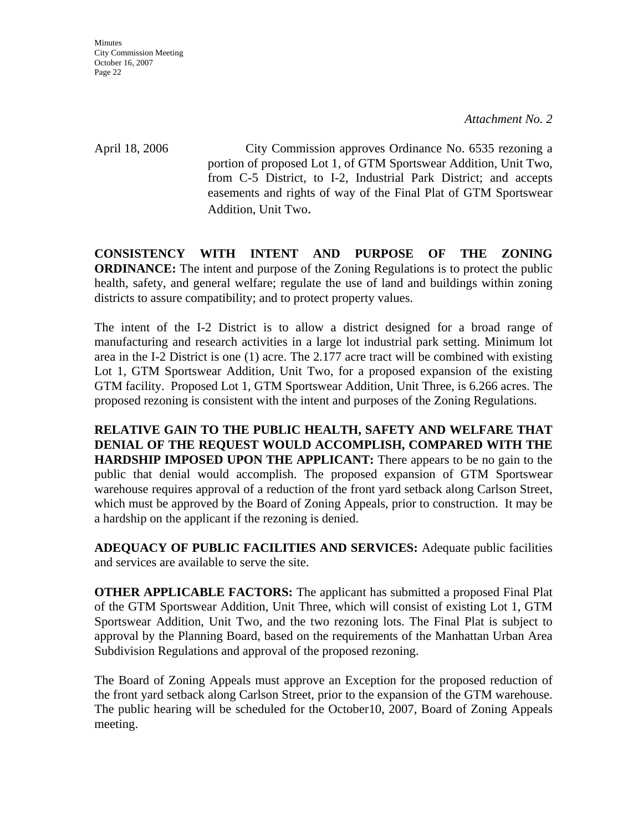April 18, 2006 City Commission approves Ordinance No. 6535 rezoning a portion of proposed Lot 1, of GTM Sportswear Addition, Unit Two, from C-5 District, to I-2, Industrial Park District; and accepts easements and rights of way of the Final Plat of GTM Sportswear Addition, Unit Two.

**CONSISTENCY WITH INTENT AND PURPOSE OF THE ZONING ORDINANCE:** The intent and purpose of the Zoning Regulations is to protect the public health, safety, and general welfare; regulate the use of land and buildings within zoning districts to assure compatibility; and to protect property values.

The intent of the I-2 District is to allow a district designed for a broad range of manufacturing and research activities in a large lot industrial park setting. Minimum lot area in the I-2 District is one (1) acre. The 2.177 acre tract will be combined with existing Lot 1, GTM Sportswear Addition, Unit Two, for a proposed expansion of the existing GTM facility. Proposed Lot 1, GTM Sportswear Addition, Unit Three, is 6.266 acres. The proposed rezoning is consistent with the intent and purposes of the Zoning Regulations.

**RELATIVE GAIN TO THE PUBLIC HEALTH, SAFETY AND WELFARE THAT DENIAL OF THE REQUEST WOULD ACCOMPLISH, COMPARED WITH THE HARDSHIP IMPOSED UPON THE APPLICANT:** There appears to be no gain to the public that denial would accomplish. The proposed expansion of GTM Sportswear warehouse requires approval of a reduction of the front yard setback along Carlson Street, which must be approved by the Board of Zoning Appeals, prior to construction. It may be a hardship on the applicant if the rezoning is denied.

**ADEQUACY OF PUBLIC FACILITIES AND SERVICES:** Adequate public facilities and services are available to serve the site.

**OTHER APPLICABLE FACTORS:** The applicant has submitted a proposed Final Plat of the GTM Sportswear Addition, Unit Three, which will consist of existing Lot 1, GTM Sportswear Addition, Unit Two, and the two rezoning lots. The Final Plat is subject to approval by the Planning Board, based on the requirements of the Manhattan Urban Area Subdivision Regulations and approval of the proposed rezoning.

The Board of Zoning Appeals must approve an Exception for the proposed reduction of the front yard setback along Carlson Street, prior to the expansion of the GTM warehouse. The public hearing will be scheduled for the October10, 2007, Board of Zoning Appeals meeting.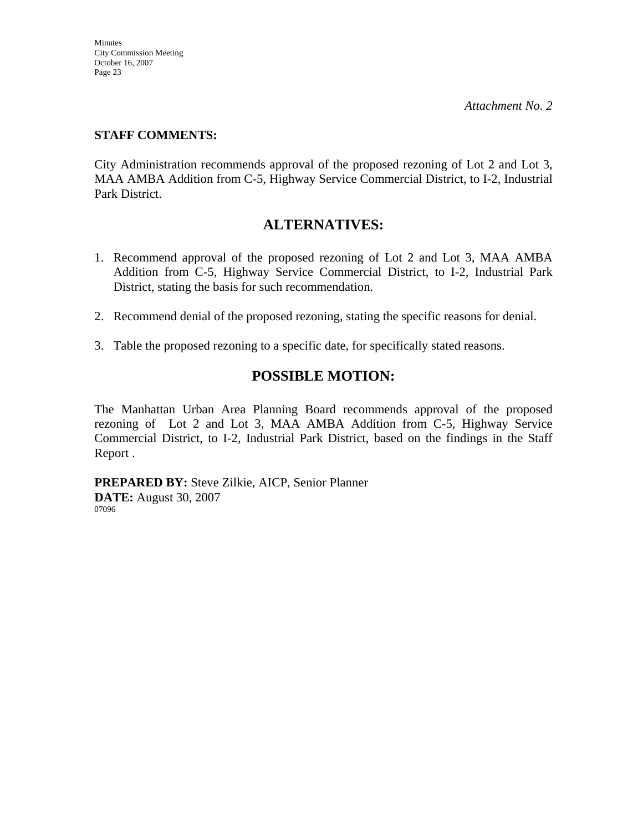### **STAFF COMMENTS:**

City Administration recommends approval of the proposed rezoning of Lot 2 and Lot 3, MAA AMBA Addition from C-5, Highway Service Commercial District, to I-2, Industrial Park District.

## **ALTERNATIVES:**

- 1. Recommend approval of the proposed rezoning of Lot 2 and Lot 3, MAA AMBA Addition from C-5, Highway Service Commercial District, to I-2, Industrial Park District, stating the basis for such recommendation.
- 2. Recommend denial of the proposed rezoning, stating the specific reasons for denial.
- 3. Table the proposed rezoning to a specific date, for specifically stated reasons.

# **POSSIBLE MOTION:**

The Manhattan Urban Area Planning Board recommends approval of the proposed rezoning of Lot 2 and Lot 3, MAA AMBA Addition from C-5, Highway Service Commercial District, to I-2, Industrial Park District, based on the findings in the Staff Report .

**PREPARED BY:** Steve Zilkie, AICP, Senior Planner **DATE:** August 30, 2007 07096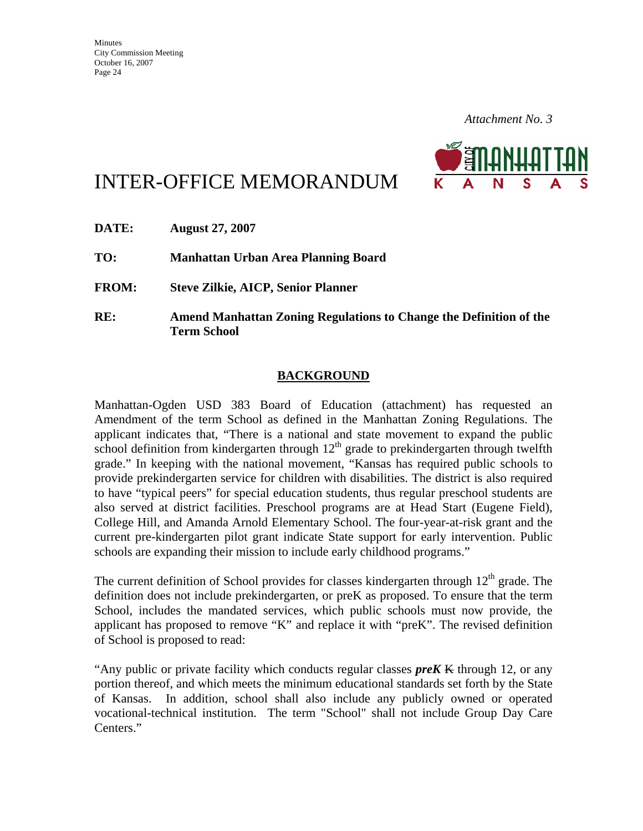

# INTER-OFFICE MEMORANDUM

| DATE:        | <b>August 27, 2007</b>                                                                          |
|--------------|-------------------------------------------------------------------------------------------------|
| TO:          | Manhattan Urban Area Planning Board                                                             |
| <b>FROM:</b> | <b>Steve Zilkie, AICP, Senior Planner</b>                                                       |
| RE:          | <b>Amend Manhattan Zoning Regulations to Change the Definition of the</b><br><b>Term School</b> |

### **BACKGROUND**

Manhattan-Ogden USD 383 Board of Education (attachment) has requested an Amendment of the term School as defined in the Manhattan Zoning Regulations. The applicant indicates that, "There is a national and state movement to expand the public school definition from kindergarten through  $12<sup>th</sup>$  grade to prekindergarten through twelfth grade." In keeping with the national movement, "Kansas has required public schools to provide prekindergarten service for children with disabilities. The district is also required to have "typical peers" for special education students, thus regular preschool students are also served at district facilities. Preschool programs are at Head Start (Eugene Field), College Hill, and Amanda Arnold Elementary School. The four-year-at-risk grant and the current pre-kindergarten pilot grant indicate State support for early intervention. Public schools are expanding their mission to include early childhood programs."

The current definition of School provides for classes kindergarten through  $12<sup>th</sup>$  grade. The definition does not include prekindergarten, or preK as proposed. To ensure that the term School, includes the mandated services, which public schools must now provide, the applicant has proposed to remove "K" and replace it with "preK". The revised definition of School is proposed to read:

"Any public or private facility which conducts regular classes *preK* K through 12, or any portion thereof, and which meets the minimum educational standards set forth by the State of Kansas. In addition, school shall also include any publicly owned or operated vocational-technical institution. The term "School" shall not include Group Day Care Centers."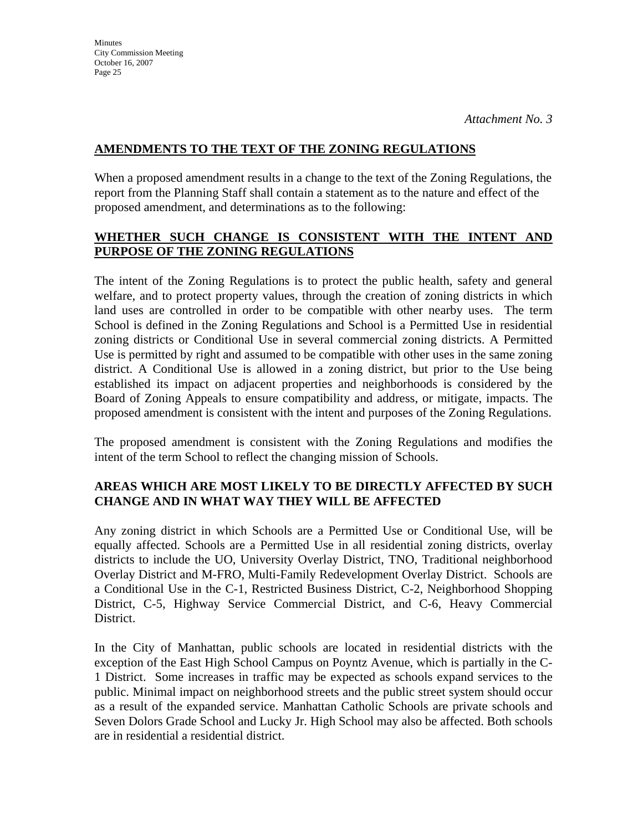#### **AMENDMENTS TO THE TEXT OF THE ZONING REGULATIONS**

When a proposed amendment results in a change to the text of the Zoning Regulations, the report from the Planning Staff shall contain a statement as to the nature and effect of the proposed amendment, and determinations as to the following:

### **WHETHER SUCH CHANGE IS CONSISTENT WITH THE INTENT AND PURPOSE OF THE ZONING REGULATIONS**

The intent of the Zoning Regulations is to protect the public health, safety and general welfare, and to protect property values, through the creation of zoning districts in which land uses are controlled in order to be compatible with other nearby uses. The term School is defined in the Zoning Regulations and School is a Permitted Use in residential zoning districts or Conditional Use in several commercial zoning districts. A Permitted Use is permitted by right and assumed to be compatible with other uses in the same zoning district. A Conditional Use is allowed in a zoning district, but prior to the Use being established its impact on adjacent properties and neighborhoods is considered by the Board of Zoning Appeals to ensure compatibility and address, or mitigate, impacts. The proposed amendment is consistent with the intent and purposes of the Zoning Regulations.

The proposed amendment is consistent with the Zoning Regulations and modifies the intent of the term School to reflect the changing mission of Schools.

### **AREAS WHICH ARE MOST LIKELY TO BE DIRECTLY AFFECTED BY SUCH CHANGE AND IN WHAT WAY THEY WILL BE AFFECTED**

Any zoning district in which Schools are a Permitted Use or Conditional Use, will be equally affected. Schools are a Permitted Use in all residential zoning districts, overlay districts to include the UO, University Overlay District, TNO, Traditional neighborhood Overlay District and M-FRO, Multi-Family Redevelopment Overlay District. Schools are a Conditional Use in the C-1, Restricted Business District, C-2, Neighborhood Shopping District, C-5, Highway Service Commercial District, and C-6, Heavy Commercial District.

In the City of Manhattan, public schools are located in residential districts with the exception of the East High School Campus on Poyntz Avenue, which is partially in the C-1 District. Some increases in traffic may be expected as schools expand services to the public. Minimal impact on neighborhood streets and the public street system should occur as a result of the expanded service. Manhattan Catholic Schools are private schools and Seven Dolors Grade School and Lucky Jr. High School may also be affected. Both schools are in residential a residential district.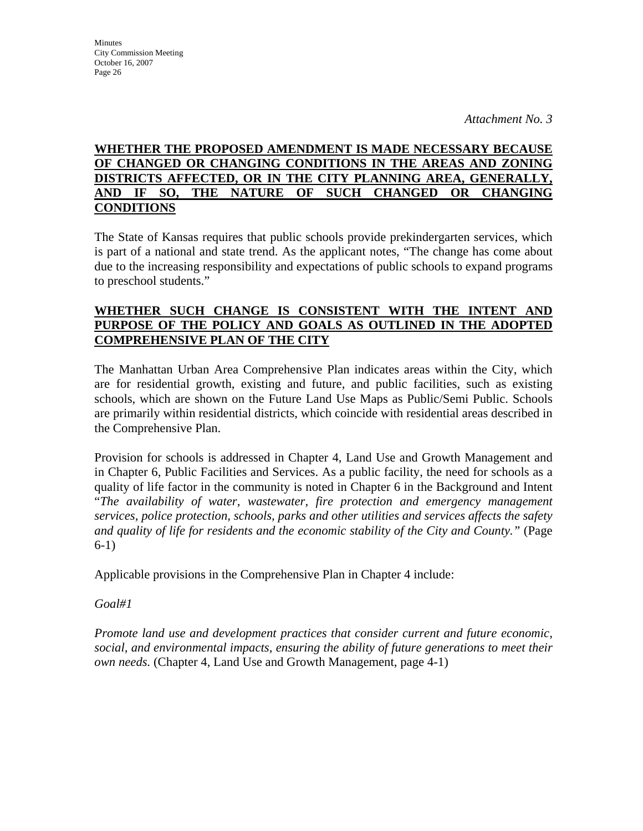### **WHETHER THE PROPOSED AMENDMENT IS MADE NECESSARY BECAUSE OF CHANGED OR CHANGING CONDITIONS IN THE AREAS AND ZONING DISTRICTS AFFECTED, OR IN THE CITY PLANNING AREA, GENERALLY, AND IF SO, THE NATURE OF SUCH CHANGED OR CHANGING CONDITIONS**

The State of Kansas requires that public schools provide prekindergarten services, which is part of a national and state trend. As the applicant notes, "The change has come about due to the increasing responsibility and expectations of public schools to expand programs to preschool students."

#### **WHETHER SUCH CHANGE IS CONSISTENT WITH THE INTENT AND PURPOSE OF THE POLICY AND GOALS AS OUTLINED IN THE ADOPTED COMPREHENSIVE PLAN OF THE CITY**

The Manhattan Urban Area Comprehensive Plan indicates areas within the City, which are for residential growth, existing and future, and public facilities, such as existing schools, which are shown on the Future Land Use Maps as Public/Semi Public. Schools are primarily within residential districts, which coincide with residential areas described in the Comprehensive Plan.

Provision for schools is addressed in Chapter 4, Land Use and Growth Management and in Chapter 6, Public Facilities and Services. As a public facility, the need for schools as a quality of life factor in the community is noted in Chapter 6 in the Background and Intent "*The availability of water, wastewater, fire protection and emergency management services, police protection, schools, parks and other utilities and services affects the safety and quality of life for residents and the economic stability of the City and County."* (Page 6-1)

Applicable provisions in the Comprehensive Plan in Chapter 4 include:

### *Goal#1*

*Promote land use and development practices that consider current and future economic, social, and environmental impacts, ensuring the ability of future generations to meet their own needs.* (Chapter 4, Land Use and Growth Management, page 4-1)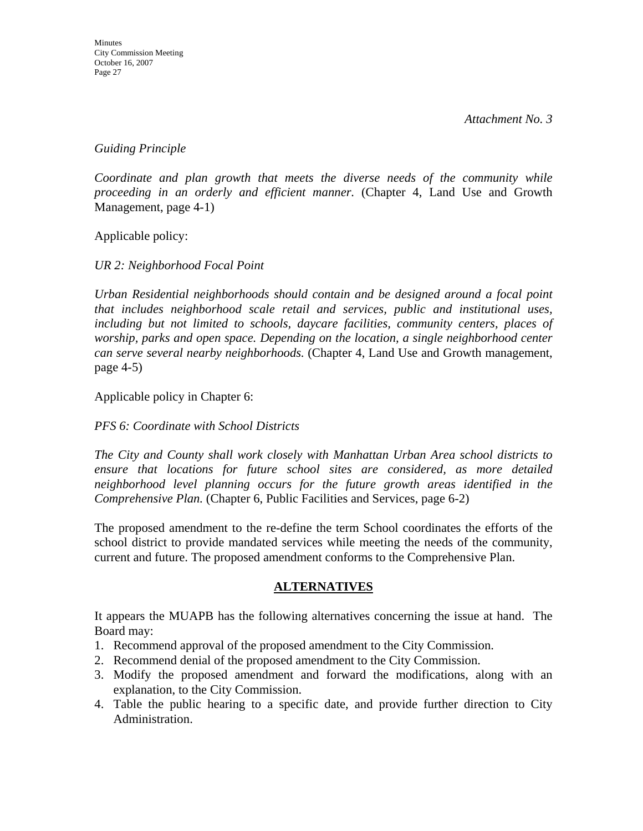*Guiding Principle* 

*Coordinate and plan growth that meets the diverse needs of the community while proceeding in an orderly and efficient manner.* (Chapter 4, Land Use and Growth Management, page 4-1)

Applicable policy:

*UR 2: Neighborhood Focal Point* 

*Urban Residential neighborhoods should contain and be designed around a focal point that includes neighborhood scale retail and services, public and institutional uses, including but not limited to schools, daycare facilities, community centers, places of worship, parks and open space. Depending on the location, a single neighborhood center can serve several nearby neighborhoods.* (Chapter 4, Land Use and Growth management, page 4-5)

Applicable policy in Chapter 6:

#### *PFS 6: Coordinate with School Districts*

*The City and County shall work closely with Manhattan Urban Area school districts to ensure that locations for future school sites are considered, as more detailed neighborhood level planning occurs for the future growth areas identified in the Comprehensive Plan.* (Chapter 6, Public Facilities and Services, page 6-2)

The proposed amendment to the re-define the term School coordinates the efforts of the school district to provide mandated services while meeting the needs of the community, current and future. The proposed amendment conforms to the Comprehensive Plan.

#### **ALTERNATIVES**

It appears the MUAPB has the following alternatives concerning the issue at hand. The Board may:

- 1. Recommend approval of the proposed amendment to the City Commission.
- 2. Recommend denial of the proposed amendment to the City Commission.
- 3. Modify the proposed amendment and forward the modifications, along with an explanation, to the City Commission.
- 4. Table the public hearing to a specific date, and provide further direction to City Administration.